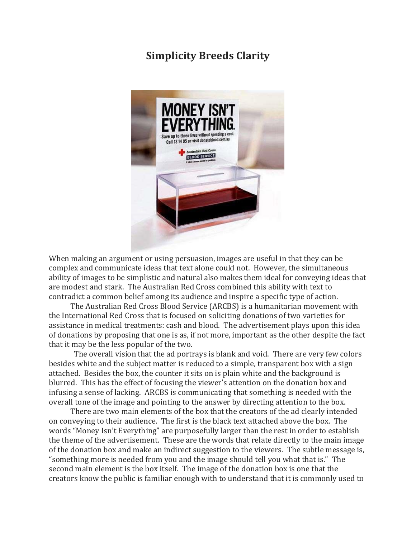## **Simplicity Breeds Clarity**



When making an argument or using persuasion, images are useful in that they can be complex and communicate ideas that text alone could not. However, the simultaneous ability of images to be simplistic and natural also makes them ideal for conveying ideas that are modest and stark. The Australian Red Cross combined this ability with text to contradict a common belief among its audience and inspire a specific type of action.

 The Australian Red Cross Blood Service (ARCBS) is a humanitarian movement with the International Red Cross that is focused on soliciting donations of two varieties for assistance in medical treatments: cash and blood. The advertisement plays upon this idea of donations by proposing that one is as, if not more, important as the other despite the fact that it may be the less popular of the two.

 The overall vision that the ad portrays is blank and void. There are very few colors besides white and the subject matter is reduced to a simple, transparent box with a sign attached. Besides the box, the counter it sits on is plain white and the background is blurred. This has the effect of focusing the viewer's attention on the donation box and infusing a sense of lacking. ARCBS is communicating that something is needed with the overall tone of the image and pointing to the answer by directing attention to the box.

 There are two main elements of the box that the creators of the ad clearly intended on conveying to their audience. The first is the black text attached above the box. The words "Money Isn't Everything" are purposefully larger than the rest in order to establish the theme of the advertisement. These are the words that relate directly to the main image of the donation box and make an indirect suggestion to the viewers. The subtle message is, "something more is needed from you and the image should tell you what that is." The second main element is the box itself. The image of the donation box is one that the creators know the public is familiar enough with to understand that it is commonly used to